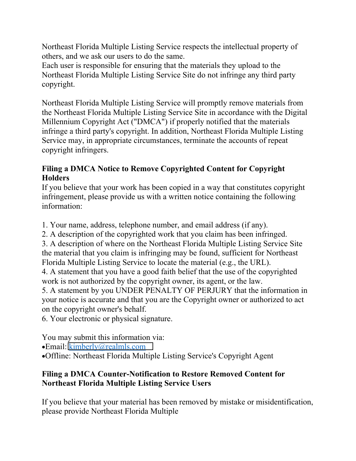Northeast Florida Multiple Listing Service respects the intellectual property of others, and we ask our users to do the same.

Each user is responsible for ensuring that the materials they upload to the Northeast Florida Multiple Listing Service Site do not infringe any third party copyright.

Northeast Florida Multiple Listing Service will promptly remove materials from the Northeast Florida Multiple Listing Service Site in accordance with the Digital Millennium Copyright Act ("DMCA") if properly notified that the materials infringe a third party's copyright. In addition, Northeast Florida Multiple Listing Service may, in appropriate circumstances, terminate the accounts of repeat copyright infringers.

### **Filing a DMCA Notice to Remove Copyrighted Content for Copyright Holders**

If you believe that your work has been copied in a way that constitutes copyright infringement, please provide us with a written notice containing the following information:

1. Your name, address, telephone number, and email address (if any).

2. A description of the copyrighted work that you claim has been infringed.

3. A description of where on the Northeast Florida Multiple Listing Service Site the material that you claim is infringing may be found, sufficient for Northeast Florida Multiple Listing Service to locate the material (e.g., the URL).

4. A statement that you have a good faith belief that the use of the copyrighted work is not authorized by the copyright owner, its agent, or the law.

5. A statement by you UNDER PENALTY OF PERJURY that the information in your notice is accurate and that you are the Copyright owner or authorized to act on the copyright owner's behalf.

6. Your electronic or physical signature.

You may submit this information via:

Email: [kimberly@realmls.com](mailto:kimberly@realmls.com)

Offline: Northeast Florida Multiple Listing Service's Copyright Agent

# **Filing a DMCA Counter-Notification to Restore Removed Content for Northeast Florida Multiple Listing Service Users**

If you believe that your material has been removed by mistake or misidentification, please provide Northeast Florida Multiple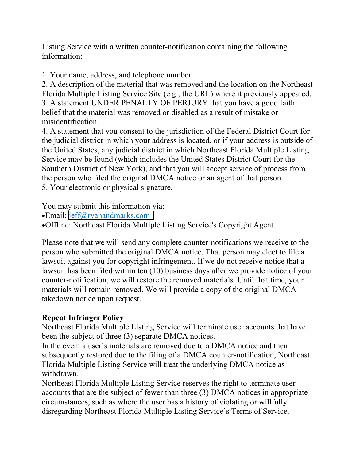Listing Service with a written counter-notification containing the following information:

1. Your name, address, and telephone number.

2. A description of the material that was removed and the location on the Northeast Florida Multiple Listing Service Site (e.g., the URL) where it previously appeared. 3. A statement UNDER PENALTY OF PERJURY that you have a good faith belief that the material was removed or disabled as a result of mistake or misidentification.

4. A statement that you consent to the jurisdiction of the Federal District Court for the judicial district in which your address is located, or if your address is outside of the United States, any judicial district in which Northeast Florida Multiple Listing Service may be found (which includes the United States District Court for the Southern District of New York), and that you will accept service of process from the person who filed the original DMCA notice or an agent of that person. 5. Your electronic or physical signature.

You may submit this information via:

Email: [jeff@ryanandmarks.com](mailto:kimberly@realmls.com)

Offline: Northeast Florida Multiple Listing Service's Copyright Agent

Please note that we will send any complete counter-notifications we receive to the person who submitted the original DMCA notice. That person may elect to file a lawsuit against you for copyright infringement. If we do not receive notice that a lawsuit has been filed within ten (10) business days after we provide notice of your counter-notification, we will restore the removed materials. Until that time, your materials will remain removed. We will provide a copy of the original DMCA takedown notice upon request.

# **Repeat Infringer Policy**

Northeast Florida Multiple Listing Service will terminate user accounts that have been the subject of three (3) separate DMCA notices.

In the event a user's materials are removed due to a DMCA notice and then subsequently restored due to the filing of a DMCA counter-notification, Northeast Florida Multiple Listing Service will treat the underlying DMCA notice as withdrawn.

Northeast Florida Multiple Listing Service reserves the right to terminate user accounts that are the subject of fewer than three (3) DMCA notices in appropriate circumstances, such as where the user has a history of violating or willfully disregarding Northeast Florida Multiple Listing Service's Terms of Service.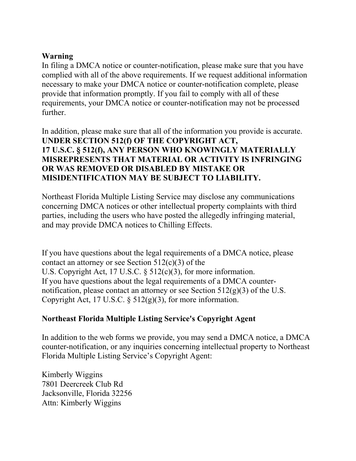### **Warning**

In filing a DMCA notice or counter-notification, please make sure that you have complied with all of the above requirements. If we request additional information necessary to make your DMCA notice or counter-notification complete, please provide that information promptly. If you fail to comply with all of these requirements, your DMCA notice or counter-notification may not be processed further.

In addition, please make sure that all of the information you provide is accurate. **UNDER SECTION 512(f) OF THE COPYRIGHT ACT, 17 U.S.C. § 512(f), ANY PERSON WHO KNOWINGLY MATERIALLY MISREPRESENTS THAT MATERIAL OR ACTIVITY IS INFRINGING OR WAS REMOVED OR DISABLED BY MISTAKE OR MISIDENTIFICATION MAY BE SUBJECT TO LIABILITY.** 

Northeast Florida Multiple Listing Service may disclose any communications concerning DMCA notices or other intellectual property complaints with third parties, including the users who have posted the allegedly infringing material, and may provide DMCA notices to Chilling Effects.

If you have questions about the legal requirements of a DMCA notice, please contact an attorney or see Section  $512(c)(3)$  of the U.S. Copyright Act, 17 U.S.C. § 512(c)(3), for more information. If you have questions about the legal requirements of a DMCA counternotification, please contact an attorney or see Section  $512(g)(3)$  of the U.S. Copyright Act, 17 U.S.C. § 512(g)(3), for more information.

### **Northeast Florida Multiple Listing Service's Copyright Agent**

In addition to the web forms we provide, you may send a DMCA notice, a DMCA counter-notification, or any inquiries concerning intellectual property to Northeast Florida Multiple Listing Service's Copyright Agent:

Kimberly Wiggins 7801 Deercreek Club Rd Jacksonville, Florida 32256 Attn: Kimberly Wiggins